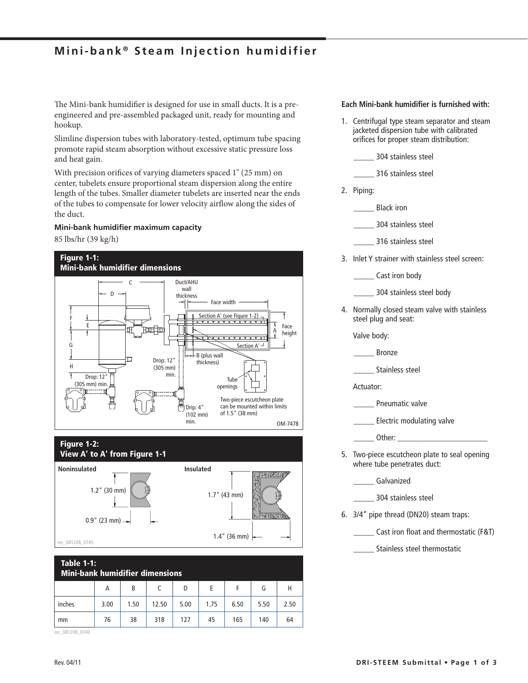### **Mini-bank ® Steam Injection humidifier**

The Mini-bank humidifier is designed for use in small ducts. It is a preengineered and pre-assembled packaged unit, ready for mounting and hookup.

Slimline dispersion tubes with laboratory-tested, optimum tube spacing promote rapid steam absorption without excessive static pressure loss and heat gain.

With precision orifices of varying diameters spaced 1" (25 mm) on center, tubelets ensure proportional steam dispersion along the entire length of the tubes. Smaller diameter tubelets are inserted near the ends of the tubes to compensate for lower velocity airflow along the sides of the duct.

#### **Mini-bank humidifier maximum capacity**

85 lbs/hr (39 kg/h)



<span id="page-0-0"></span>

| Table 1-1:<br><b>Mini-bank humidifier dimensions</b> |      |      |       |      |      |      |      |      |
|------------------------------------------------------|------|------|-------|------|------|------|------|------|
|                                                      | A    | B    |       | D    | E    |      | G    | Н    |
| inches                                               | 3.00 | 1.50 | 12.50 | 5.00 | 1.75 | 6.50 | 5.50 | 2.50 |
| mm                                                   | 76   | 38   | 318   | 127  | 45   | 165  | 140  | 64   |

mc\_081208\_0740

#### **Each Mini-bank humidifier is furnished with:**

- 1. Centrifugal type steam separator and steam jacketed dispersion tube with calibrated orifices for proper steam distribution:
	- \_\_\_\_\_ 304 stainless steel
	- \_\_\_\_\_ 316 stainless steel
- 2. Piping:
	- \_\_\_\_\_ Black iron
	- \_\_\_\_\_ 304 stainless steel
	- \_\_\_\_\_ 316 stainless steel
- 3. Inlet Y strainer with stainless steel screen:
	- \_\_\_\_\_ Cast iron body
	- \_\_\_\_\_ 304 stainless steel body
- 4. Normally closed steam valve with stainless steel plug and seat:

Valve body:

- \_\_\_\_\_ Bronze
- Stainless steel

Actuator:

- Pneumatic valve
- Electric modulating valve
	- Other:
- 5. Two-piece escutcheon plate to seal opening where tube penetrates duct:
	- \_\_\_\_\_ Galvanized

\_\_\_\_\_ 304 stainless steel

- 6. 3/4" pipe thread (DN20) steam traps:
	- Cast iron float and thermostatic (F&T)
	- Stainless steel thermostatic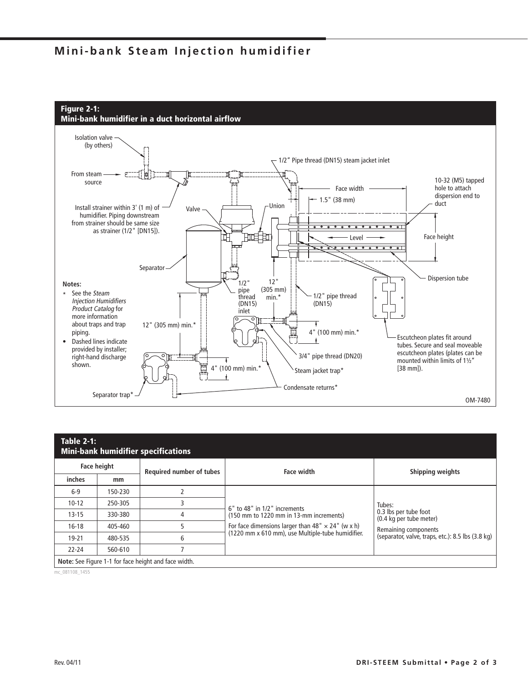## **Mini-bank Steam Injection humidifier**



| <b>Table 2-1:</b><br><b>Mini-bank humidifier specifications</b> |         |                          |                                                                                                                 |                                                                                                                                         |  |  |  |
|-----------------------------------------------------------------|---------|--------------------------|-----------------------------------------------------------------------------------------------------------------|-----------------------------------------------------------------------------------------------------------------------------------------|--|--|--|
| <b>Face height</b>                                              |         | Required number of tubes | <b>Face width</b>                                                                                               | <b>Shipping weights</b>                                                                                                                 |  |  |  |
| inches                                                          | mm      |                          |                                                                                                                 |                                                                                                                                         |  |  |  |
| $6-9$                                                           | 150-230 |                          |                                                                                                                 |                                                                                                                                         |  |  |  |
| $10 - 12$                                                       | 250-305 | 3                        | 6" to 48" in 1/2" increments                                                                                    | Tubes:<br>0.3 lbs per tube foot<br>(0.4 kg per tube meter)<br>Remaining components<br>(separator, valve, traps, etc.): 8.5 lbs (3.8 kg) |  |  |  |
| $13 - 15$                                                       | 330-380 | 4                        | (150 mm to 1220 mm in 13-mm increments)                                                                         |                                                                                                                                         |  |  |  |
| $16-18$                                                         | 405-460 |                          | For face dimensions larger than $48'' \times 24''$ (w x h)<br>(1220 mm x 610 mm), use Multiple-tube humidifier. |                                                                                                                                         |  |  |  |
| $19 - 21$                                                       | 480-535 | 6                        |                                                                                                                 |                                                                                                                                         |  |  |  |
| $22 - 24$                                                       | 560-610 |                          |                                                                                                                 |                                                                                                                                         |  |  |  |
| Note: See Figure 1-1 for face height and face width.            |         |                          |                                                                                                                 |                                                                                                                                         |  |  |  |

mc\_081108\_1455